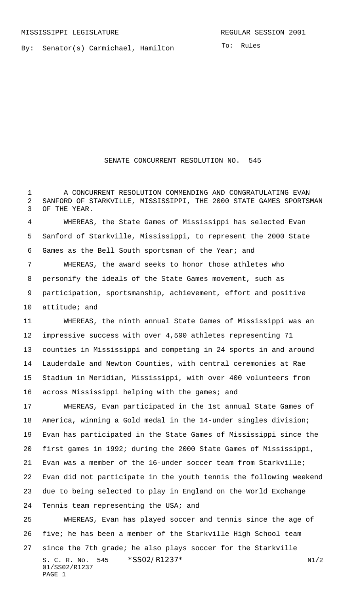By: Senator(s) Carmichael, Hamilton

SENATE CONCURRENT RESOLUTION NO. 545

 A CONCURRENT RESOLUTION COMMENDING AND CONGRATULATING EVAN SANFORD OF STARKVILLE, MISSISSIPPI, THE 2000 STATE GAMES SPORTSMAN OF THE YEAR.

 WHEREAS, the State Games of Mississippi has selected Evan Sanford of Starkville, Mississippi, to represent the 2000 State Games as the Bell South sportsman of the Year; and

 WHEREAS, the award seeks to honor those athletes who personify the ideals of the State Games movement, such as participation, sportsmanship, achievement, effort and positive attitude; and

 WHEREAS, the ninth annual State Games of Mississippi was an impressive success with over 4,500 athletes representing 71 counties in Mississippi and competing in 24 sports in and around Lauderdale and Newton Counties, with central ceremonies at Rae Stadium in Meridian, Mississippi, with over 400 volunteers from 16 across Mississippi helping with the games; and

 WHEREAS, Evan participated in the 1st annual State Games of America, winning a Gold medal in the 14-under singles division; Evan has participated in the State Games of Mississippi since the first games in 1992; during the 2000 State Games of Mississippi, Evan was a member of the 16-under soccer team from Starkville; Evan did not participate in the youth tennis the following weekend due to being selected to play in England on the World Exchange Tennis team representing the USA; and

S. C. R. No. \*SS02/R1237\* N1/2 01/SS02/R1237 PAGE 1 WHEREAS, Evan has played soccer and tennis since the age of five; he has been a member of the Starkville High School team since the 7th grade; he also plays soccer for the Starkville